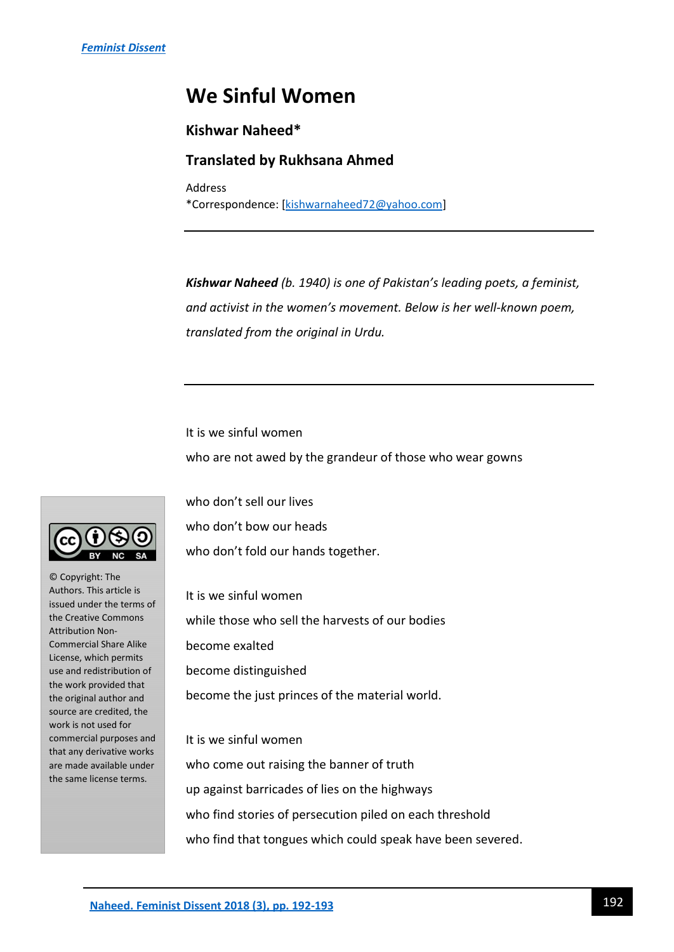## **We Sinful Women**

## **Kishwar Naheed\***

## **Translated by Rukhsana Ahmed**

Address \*Correspondence: [\[kishwarnaheed72@yahoo.com\]](mailto:kishwarnaheed72@yahoo.com)

*Kishwar Naheed (b. 1940) is one of Pakistan's leading poets, a feminist, and activist in the women's movement. Below is her well-known poem, translated from the original in Urdu.* 

It is we sinful women who are not awed by the grandeur of those who wear gowns

who don't sell our lives who don't bow our heads who don't fold our hands together.

It is we sinful women while those who sell the harvests of our bodies become exalted become distinguished become the just princes of the material world.

It is we sinful women who come out raising the banner of truth up against barricades of lies on the highways who find stories of persecution piled on each threshold who find that tongues which could speak have been severed.



© Copyright: The Authors. This article is issued under the terms of the Creative Commons Attribution Non-Commercial Share Alike License, which permits use and redistribution of the work provided that the original author and source are credited, the work is not used for commercial purposes and that any derivative works are made available under the same license terms.